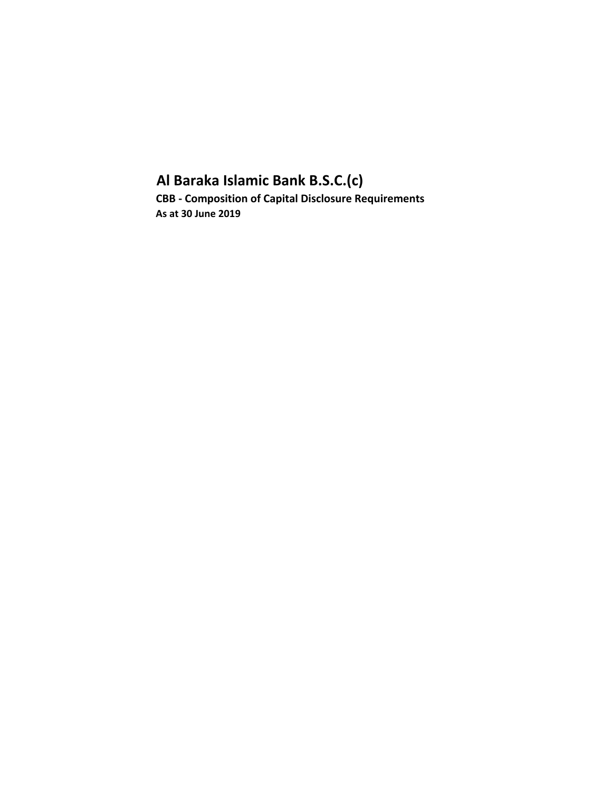## **Al Baraka Islamic Bank B.S.C.(c) CBB - Composition of Capital Disclosure Requirements As at 30 June 2019**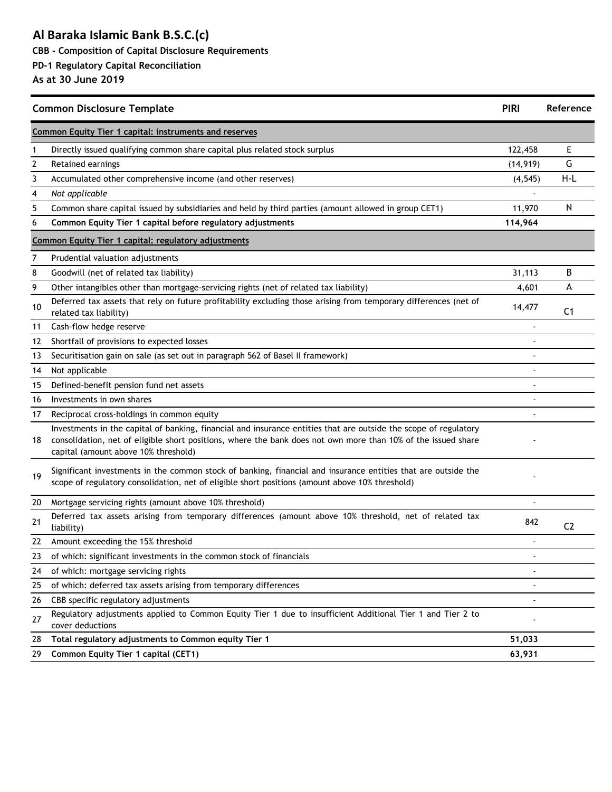### **Al Baraka Islamic Bank B.S.C.(c) CBB - Composition of Capital Disclosure Requirements**

### **PD-1 Regulatory Capital Reconciliation**

|    | <b>Common Disclosure Template</b>                                                                                                                                                                                                                                         | <b>PIRI</b> | Reference      |
|----|---------------------------------------------------------------------------------------------------------------------------------------------------------------------------------------------------------------------------------------------------------------------------|-------------|----------------|
|    | Common Equity Tier 1 capital: instruments and reserves                                                                                                                                                                                                                    |             |                |
| 1  | Directly issued qualifying common share capital plus related stock surplus                                                                                                                                                                                                | 122,458     | Е              |
| 2  | Retained earnings                                                                                                                                                                                                                                                         | (14, 919)   | G              |
| 3  | Accumulated other comprehensive income (and other reserves)                                                                                                                                                                                                               | (4, 545)    | $H-L$          |
| 4  | Not applicable                                                                                                                                                                                                                                                            |             |                |
| 5  | Common share capital issued by subsidiaries and held by third parties (amount allowed in group CET1)                                                                                                                                                                      | 11,970      | N              |
| 6  | Common Equity Tier 1 capital before regulatory adjustments                                                                                                                                                                                                                | 114,964     |                |
|    | Common Equity Tier 1 capital: regulatory adjustments                                                                                                                                                                                                                      |             |                |
| 7  | Prudential valuation adjustments                                                                                                                                                                                                                                          |             |                |
| 8  | Goodwill (net of related tax liability)                                                                                                                                                                                                                                   | 31,113      | В              |
| 9  | Other intangibles other than mortgage-servicing rights (net of related tax liability)                                                                                                                                                                                     | 4,601       | А              |
| 10 | Deferred tax assets that rely on future profitability excluding those arising from temporary differences (net of<br>related tax liability)                                                                                                                                | 14,477      | C <sub>1</sub> |
| 11 | Cash-flow hedge reserve                                                                                                                                                                                                                                                   |             |                |
| 12 | Shortfall of provisions to expected losses                                                                                                                                                                                                                                |             |                |
| 13 | Securitisation gain on sale (as set out in paragraph 562 of Basel II framework)                                                                                                                                                                                           |             |                |
| 14 | Not applicable                                                                                                                                                                                                                                                            |             |                |
| 15 | Defined-benefit pension fund net assets                                                                                                                                                                                                                                   |             |                |
| 16 | Investments in own shares                                                                                                                                                                                                                                                 |             |                |
| 17 | Reciprocal cross-holdings in common equity                                                                                                                                                                                                                                |             |                |
| 18 | Investments in the capital of banking, financial and insurance entities that are outside the scope of regulatory<br>consolidation, net of eligible short positions, where the bank does not own more than 10% of the issued share<br>capital (amount above 10% threshold) |             |                |
| 19 | Significant investments in the common stock of banking, financial and insurance entities that are outside the<br>scope of regulatory consolidation, net of eligible short positions (amount above 10% threshold)                                                          |             |                |
| 20 | Mortgage servicing rights (amount above 10% threshold)                                                                                                                                                                                                                    |             |                |
| 21 | Deferred tax assets arising from temporary differences (amount above 10% threshold, net of related tax<br>liability)                                                                                                                                                      | 842         | C <sub>2</sub> |
| 22 | Amount exceeding the 15% threshold                                                                                                                                                                                                                                        |             |                |
| 23 | of which: significant investments in the common stock of financials                                                                                                                                                                                                       |             |                |
| 24 | of which: mortgage servicing rights                                                                                                                                                                                                                                       |             |                |
| 25 | of which: deferred tax assets arising from temporary differences                                                                                                                                                                                                          |             |                |
| 26 | CBB specific regulatory adjustments                                                                                                                                                                                                                                       |             |                |
| 27 | Regulatory adjustments applied to Common Equity Tier 1 due to insufficient Additional Tier 1 and Tier 2 to<br>cover deductions                                                                                                                                            |             |                |
| 28 | Total regulatory adjustments to Common equity Tier 1                                                                                                                                                                                                                      | 51,033      |                |
| 29 | Common Equity Tier 1 capital (CET1)                                                                                                                                                                                                                                       | 63,931      |                |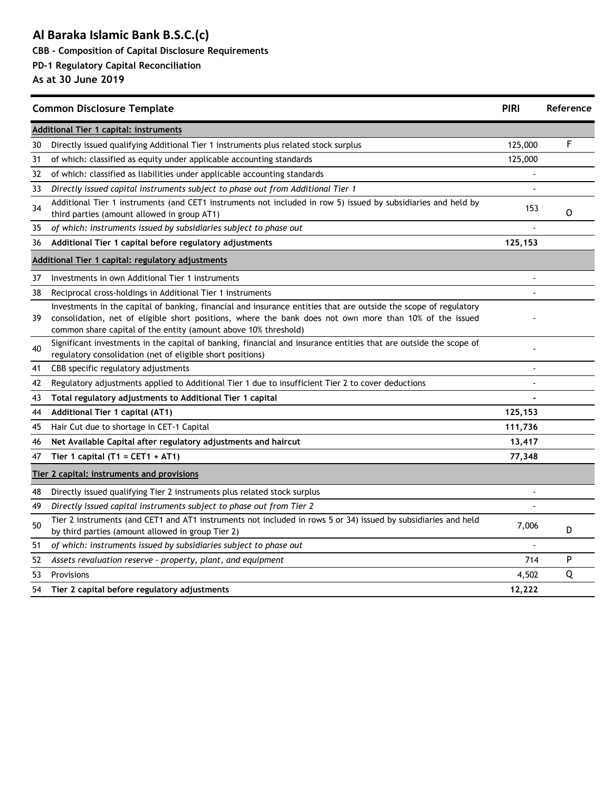**CBB - Composition of Capital Disclosure Requirements**

#### **PD-1 Regulatory Capital Reconciliation**

| <b>Common Disclosure Template</b> |                                                                                                                                                                                                                                                                                                |               | Reference |
|-----------------------------------|------------------------------------------------------------------------------------------------------------------------------------------------------------------------------------------------------------------------------------------------------------------------------------------------|---------------|-----------|
|                                   | <b>Additional Tier 1 capital: instruments</b>                                                                                                                                                                                                                                                  |               |           |
| 30                                | Directly issued qualifying Additional Tier 1 instruments plus related stock surplus                                                                                                                                                                                                            | 125,000       | F         |
| 31                                | of which: classified as equity under applicable accounting standards                                                                                                                                                                                                                           | 125,000       |           |
| 32                                | of which: classified as liabilities under applicable accounting standards                                                                                                                                                                                                                      |               |           |
| 33                                | Directly issued capital instruments subject to phase out from Additional Tier 1                                                                                                                                                                                                                |               |           |
| 34                                | Additional Tier 1 instruments (and CET1 instruments not included in row 5) issued by subsidiaries and held by<br>third parties (amount allowed in group AT1)                                                                                                                                   | 153           | O         |
| 35                                | of which: instruments issued by subsidiaries subject to phase out                                                                                                                                                                                                                              |               |           |
| 36                                | Additional Tier 1 capital before regulatory adjustments                                                                                                                                                                                                                                        | 125,153       |           |
|                                   | Additional Tier 1 capital: regulatory adjustments                                                                                                                                                                                                                                              |               |           |
| 37                                | Investments in own Additional Tier 1 instruments                                                                                                                                                                                                                                               |               |           |
| 38                                | Reciprocal cross-holdings in Additional Tier 1 instruments                                                                                                                                                                                                                                     |               |           |
| 39                                | Investments in the capital of banking, financial and insurance entities that are outside the scope of regulatory<br>consolidation, net of eligible short positions, where the bank does not own more than 10% of the issued<br>common share capital of the entity (amount above 10% threshold) |               |           |
| 40                                | Significant investments in the capital of banking, financial and insurance entities that are outside the scope of<br>regulatory consolidation (net of eligible short positions)                                                                                                                |               |           |
| 41                                | CBB specific regulatory adjustments                                                                                                                                                                                                                                                            | $\frac{1}{2}$ |           |
| 42                                | Regulatory adjustments applied to Additional Tier 1 due to insufficient Tier 2 to cover deductions                                                                                                                                                                                             |               |           |
| 43                                | Total regulatory adjustments to Additional Tier 1 capital                                                                                                                                                                                                                                      |               |           |
| 44                                | Additional Tier 1 capital (AT1)                                                                                                                                                                                                                                                                | 125,153       |           |
| 45                                | Hair Cut due to shortage in CET-1 Capital                                                                                                                                                                                                                                                      | 111,736       |           |
| 46                                | Net Available Capital after regulatory adjustments and haircut                                                                                                                                                                                                                                 | 13,417        |           |
| 47                                | Tier 1 capital (T1 = CET1 + AT1)                                                                                                                                                                                                                                                               | 77,348        |           |
|                                   | Tier 2 capital: instruments and provisions                                                                                                                                                                                                                                                     |               |           |
| 48                                | Directly issued qualifying Tier 2 instruments plus related stock surplus                                                                                                                                                                                                                       |               |           |
| 49                                | Directly issued capital instruments subject to phase out from Tier 2                                                                                                                                                                                                                           |               |           |
| 50                                | Tier 2 instruments (and CET1 and AT1 instruments not included in rows 5 or 34) issued by subsidiaries and held<br>by third parties (amount allowed in group Tier 2)                                                                                                                            | 7,006         | D         |
| 51                                | of which: instruments issued by subsidiaries subject to phase out                                                                                                                                                                                                                              |               |           |
| 52                                | Assets revaluation reserve - property, plant, and equipment                                                                                                                                                                                                                                    | 714           | P         |
| 53                                | Provisions                                                                                                                                                                                                                                                                                     | 4,502         | Q         |
| 54                                | Tier 2 capital before regulatory adjustments                                                                                                                                                                                                                                                   | 12,222        |           |
|                                   |                                                                                                                                                                                                                                                                                                |               |           |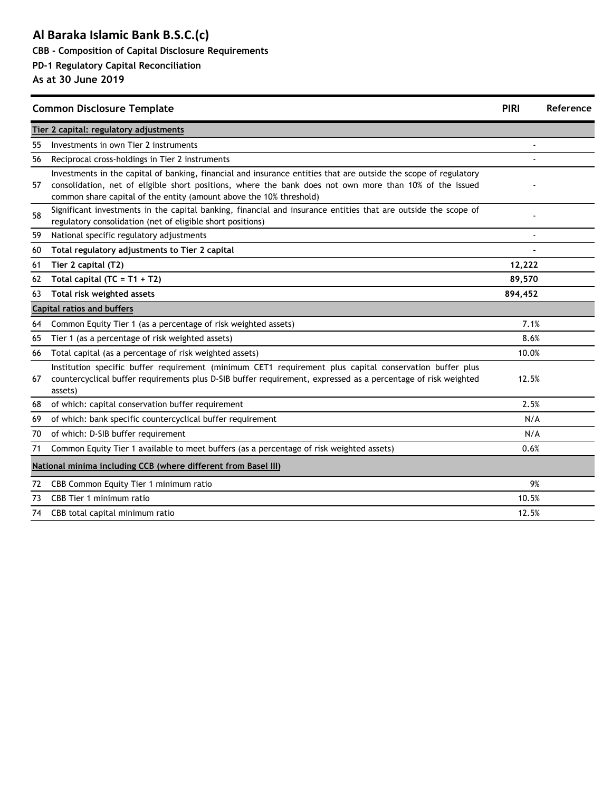**CBB - Composition of Capital Disclosure Requirements**

#### **PD-1 Regulatory Capital Reconciliation**

|    | <b>Common Disclosure Template</b>                                                                                                                                                                                                                                                                  | <b>PIRI</b>    | Reference |
|----|----------------------------------------------------------------------------------------------------------------------------------------------------------------------------------------------------------------------------------------------------------------------------------------------------|----------------|-----------|
|    | Tier 2 capital: regulatory adjustments                                                                                                                                                                                                                                                             |                |           |
| 55 | Investments in own Tier 2 instruments                                                                                                                                                                                                                                                              |                |           |
| 56 | Reciprocal cross-holdings in Tier 2 instruments                                                                                                                                                                                                                                                    |                |           |
| 57 | Investments in the capital of banking, financial and insurance entities that are outside the scope of regulatory<br>consolidation, net of eligible short positions, where the bank does not own more than 10% of the issued<br>common share capital of the entity (amount above the 10% threshold) |                |           |
| 58 | Significant investments in the capital banking, financial and insurance entities that are outside the scope of<br>regulatory consolidation (net of eligible short positions)                                                                                                                       |                |           |
| 59 | National specific regulatory adjustments                                                                                                                                                                                                                                                           | $\overline{a}$ |           |
| 60 | Total regulatory adjustments to Tier 2 capital                                                                                                                                                                                                                                                     |                |           |
| 61 | Tier 2 capital (T2)                                                                                                                                                                                                                                                                                | 12,222         |           |
| 62 | Total capital $(TC = T1 + T2)$                                                                                                                                                                                                                                                                     | 89,570         |           |
| 63 | Total risk weighted assets                                                                                                                                                                                                                                                                         | 894,452        |           |
|    | <b>Capital ratios and buffers</b>                                                                                                                                                                                                                                                                  |                |           |
| 64 | Common Equity Tier 1 (as a percentage of risk weighted assets)                                                                                                                                                                                                                                     | 7.1%           |           |
| 65 | Tier 1 (as a percentage of risk weighted assets)                                                                                                                                                                                                                                                   | 8.6%           |           |
| 66 | Total capital (as a percentage of risk weighted assets)                                                                                                                                                                                                                                            | 10.0%          |           |
| 67 | Institution specific buffer requirement (minimum CET1 requirement plus capital conservation buffer plus<br>countercyclical buffer requirements plus D-SIB buffer requirement, expressed as a percentage of risk weighted<br>assets)                                                                | 12.5%          |           |
| 68 | of which: capital conservation buffer requirement                                                                                                                                                                                                                                                  | 2.5%           |           |
| 69 | of which: bank specific countercyclical buffer requirement                                                                                                                                                                                                                                         | N/A            |           |
| 70 | of which: D-SIB buffer requirement                                                                                                                                                                                                                                                                 | N/A            |           |
| 71 | Common Equity Tier 1 available to meet buffers (as a percentage of risk weighted assets)                                                                                                                                                                                                           | 0.6%           |           |
|    | National minima including CCB (where different from Basel III)                                                                                                                                                                                                                                     |                |           |
| 72 | CBB Common Equity Tier 1 minimum ratio                                                                                                                                                                                                                                                             | 9%             |           |
| 73 | CBB Tier 1 minimum ratio                                                                                                                                                                                                                                                                           | 10.5%          |           |
| 74 | CBB total capital minimum ratio                                                                                                                                                                                                                                                                    | 12.5%          |           |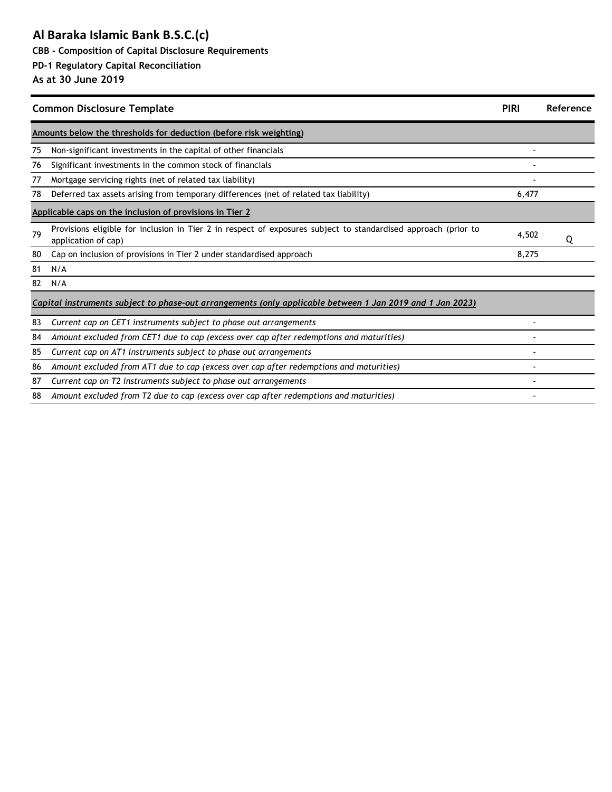**CBB - Composition of Capital Disclosure Requirements**

#### **PD-1 Regulatory Capital Reconciliation**

|    | <b>Common Disclosure Template</b>                                                                                                     | <b>PIRI</b> | Reference |
|----|---------------------------------------------------------------------------------------------------------------------------------------|-------------|-----------|
|    | Amounts below the thresholds for deduction (before risk weighting)                                                                    |             |           |
| 75 | Non-significant investments in the capital of other financials                                                                        |             |           |
| 76 | Significant investments in the common stock of financials                                                                             |             |           |
| 77 | Mortgage servicing rights (net of related tax liability)                                                                              |             |           |
| 78 | Deferred tax assets arising from temporary differences (net of related tax liability)                                                 | 6,477       |           |
|    | Applicable caps on the inclusion of provisions in Tier 2                                                                              |             |           |
| 79 | Provisions eligible for inclusion in Tier 2 in respect of exposures subject to standardised approach (prior to<br>application of cap) | 4,502       | Q         |
| 80 | Cap on inclusion of provisions in Tier 2 under standardised approach                                                                  | 8,275       |           |
| 81 | N/A                                                                                                                                   |             |           |
| 82 | N/A                                                                                                                                   |             |           |
|    | Capital instruments subject to phase-out arrangements (only applicable between 1 Jan 2019 and 1 Jan 2023)                             |             |           |
| 83 | Current cap on CET1 instruments subject to phase out arrangements                                                                     |             |           |
| 84 | Amount excluded from CET1 due to cap (excess over cap after redemptions and maturities)                                               |             |           |
| 85 | Current cap on AT1 instruments subject to phase out arrangements                                                                      |             |           |
| 86 | Amount excluded from AT1 due to cap (excess over cap after redemptions and maturities)                                                |             |           |
| 87 | Current cap on T2 instruments subject to phase out arrangements                                                                       |             |           |
| 88 | Amount excluded from T2 due to cap (excess over cap after redemptions and maturities)                                                 |             |           |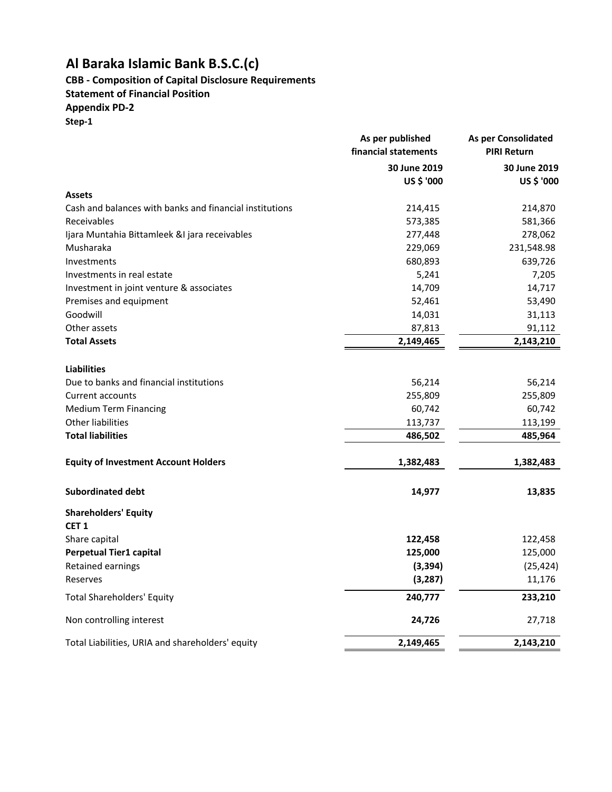## **CBB - Composition of Capital Disclosure Requirements**

**Statement of Financial Position**

**Appendix PD-2 Step-1**

|                                                         | As per published<br>financial statements | As per Consolidated<br><b>PIRI Return</b> |  |
|---------------------------------------------------------|------------------------------------------|-------------------------------------------|--|
|                                                         | 30 June 2019                             | 30 June 2019                              |  |
|                                                         | US \$ '000                               | US \$ '000                                |  |
| <b>Assets</b>                                           |                                          |                                           |  |
| Cash and balances with banks and financial institutions | 214,415                                  | 214,870                                   |  |
| Receivables                                             | 573,385                                  | 581,366                                   |  |
| Ijara Muntahia Bittamleek &I jara receivables           | 277,448                                  | 278,062                                   |  |
| Musharaka                                               | 229,069                                  | 231,548.98                                |  |
| Investments                                             | 680,893                                  | 639,726                                   |  |
| Investments in real estate                              | 5,241                                    | 7,205                                     |  |
| Investment in joint venture & associates                | 14,709                                   | 14,717                                    |  |
| Premises and equipment                                  | 52,461                                   | 53,490                                    |  |
| Goodwill                                                | 14,031                                   | 31,113                                    |  |
| Other assets                                            | 87,813                                   | 91,112                                    |  |
| <b>Total Assets</b>                                     | 2,149,465                                | 2,143,210                                 |  |
| <b>Liabilities</b>                                      |                                          |                                           |  |
| Due to banks and financial institutions                 | 56,214                                   | 56,214                                    |  |
| Current accounts                                        | 255,809                                  | 255,809                                   |  |
| <b>Medium Term Financing</b>                            | 60,742                                   | 60,742                                    |  |
| <b>Other liabilities</b>                                | 113,737                                  | 113,199                                   |  |
| <b>Total liabilities</b>                                | 486,502                                  | 485,964                                   |  |
| <b>Equity of Investment Account Holders</b>             | 1,382,483                                | 1,382,483                                 |  |
| <b>Subordinated debt</b>                                | 14,977                                   | 13,835                                    |  |
| <b>Shareholders' Equity</b>                             |                                          |                                           |  |
| CET <sub>1</sub>                                        |                                          |                                           |  |
| Share capital                                           | 122,458                                  | 122,458                                   |  |
| <b>Perpetual Tier1 capital</b>                          | 125,000                                  | 125,000                                   |  |
| Retained earnings                                       | (3, 394)                                 | (25, 424)                                 |  |
| Reserves                                                | (3, 287)                                 | 11,176                                    |  |
| <b>Total Shareholders' Equity</b>                       | 240,777                                  | 233,210                                   |  |
| Non controlling interest                                | 24,726                                   | 27,718                                    |  |
| Total Liabilities, URIA and shareholders' equity        | 2,149,465                                | 2,143,210                                 |  |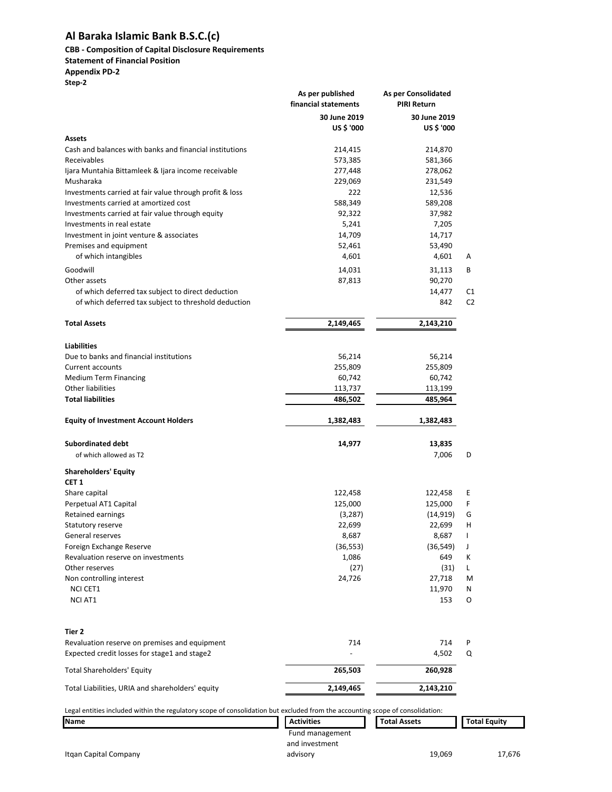## **CBB - Composition of Capital Disclosure Requirements**

#### **Statement of Financial Position**

**Appendix PD-2 Step-2**

|                                                                                                                               | As per published<br>financial statements | <b>As per Consolidated</b><br><b>PIRI Return</b> |                      |
|-------------------------------------------------------------------------------------------------------------------------------|------------------------------------------|--------------------------------------------------|----------------------|
|                                                                                                                               | 30 June 2019<br>US \$ '000               | 30 June 2019<br>US \$ '000                       |                      |
| Assets                                                                                                                        |                                          |                                                  |                      |
| Cash and balances with banks and financial institutions                                                                       | 214,415                                  | 214,870                                          |                      |
| Receivables                                                                                                                   | 573,385                                  | 581,366                                          |                      |
| Ijara Muntahia Bittamleek & Ijara income receivable                                                                           | 277,448                                  | 278,062                                          |                      |
| Musharaka                                                                                                                     | 229,069                                  | 231,549                                          |                      |
| Investments carried at fair value through profit & loss                                                                       | 222                                      | 12,536                                           |                      |
| Investments carried at amortized cost                                                                                         | 588,349                                  | 589,208                                          |                      |
| Investments carried at fair value through equity<br>Investments in real estate                                                | 92,322                                   | 37,982                                           |                      |
| Investment in joint venture & associates                                                                                      | 5,241<br>14,709                          | 7,205<br>14,717                                  |                      |
| Premises and equipment                                                                                                        | 52,461                                   | 53,490                                           |                      |
| of which intangibles                                                                                                          | 4,601                                    | 4,601                                            | Α                    |
|                                                                                                                               |                                          |                                                  |                      |
| Goodwill                                                                                                                      | 14,031                                   | 31,113                                           | В                    |
| Other assets<br>of which deferred tax subject to direct deduction                                                             | 87,813                                   | 90,270                                           |                      |
| of which deferred tax subject to threshold deduction                                                                          |                                          | 14,477<br>842                                    | C1<br>C <sub>2</sub> |
| <b>Total Assets</b>                                                                                                           | 2,149,465                                | 2,143,210                                        |                      |
| <b>Liabilities</b>                                                                                                            |                                          |                                                  |                      |
| Due to banks and financial institutions                                                                                       | 56,214                                   | 56,214                                           |                      |
| <b>Current accounts</b>                                                                                                       | 255,809                                  | 255,809                                          |                      |
| Medium Term Financing                                                                                                         | 60,742                                   | 60,742                                           |                      |
| Other liabilities                                                                                                             | 113,737                                  | 113,199                                          |                      |
| <b>Total liabilities</b>                                                                                                      | 486,502                                  | 485,964                                          |                      |
| <b>Equity of Investment Account Holders</b>                                                                                   | 1,382,483                                | 1,382,483                                        |                      |
| <b>Subordinated debt</b>                                                                                                      | 14,977                                   | 13,835                                           |                      |
| of which allowed as T2                                                                                                        |                                          | 7,006                                            | D                    |
|                                                                                                                               |                                          |                                                  |                      |
| <b>Shareholders' Equity</b>                                                                                                   |                                          |                                                  |                      |
| CET 1                                                                                                                         |                                          |                                                  |                      |
| Share capital                                                                                                                 | 122,458                                  | 122,458                                          | Ε                    |
| Perpetual AT1 Capital                                                                                                         | 125,000                                  | 125,000                                          | F                    |
| Retained earnings<br>Statutory reserve                                                                                        | (3, 287)<br>22,699                       | (14, 919)<br>22,699                              | G<br>н               |
| General reserves                                                                                                              |                                          | 8,687                                            | J.                   |
| Foreign Exchange Reserve                                                                                                      | 8,687<br>(36, 553)                       | (36, 549)                                        | J                    |
| Revaluation reserve on investments                                                                                            | 1,086                                    | 649                                              | к                    |
| Other reserves                                                                                                                | (27)                                     | (31)                                             | L                    |
| Non controlling interest                                                                                                      | 24,726                                   | 27,718                                           | M                    |
| NCI CET1                                                                                                                      |                                          | 11,970                                           | Ν                    |
| <b>NCI AT1</b>                                                                                                                |                                          | 153                                              | O                    |
| Tier 2                                                                                                                        |                                          |                                                  |                      |
| Revaluation reserve on premises and equipment                                                                                 | 714                                      | 714                                              | P                    |
| Expected credit losses for stage1 and stage2                                                                                  |                                          | 4,502                                            | Q                    |
| <b>Total Shareholders' Equity</b>                                                                                             | 265,503                                  | 260,928                                          |                      |
| Total Liabilities, URIA and shareholders' equity                                                                              | 2,149,465                                | 2,143,210                                        |                      |
| Legal entities included within the regulatory scope of consolidation but excluded from the accounting scope of consolidation: |                                          |                                                  |                      |
| Name                                                                                                                          | <b>Activities</b>                        | <b>Total Assets</b>                              | <b>Total Equity</b>  |
|                                                                                                                               | Fund management<br>and investment        |                                                  |                      |

advisory 19,069 17,676